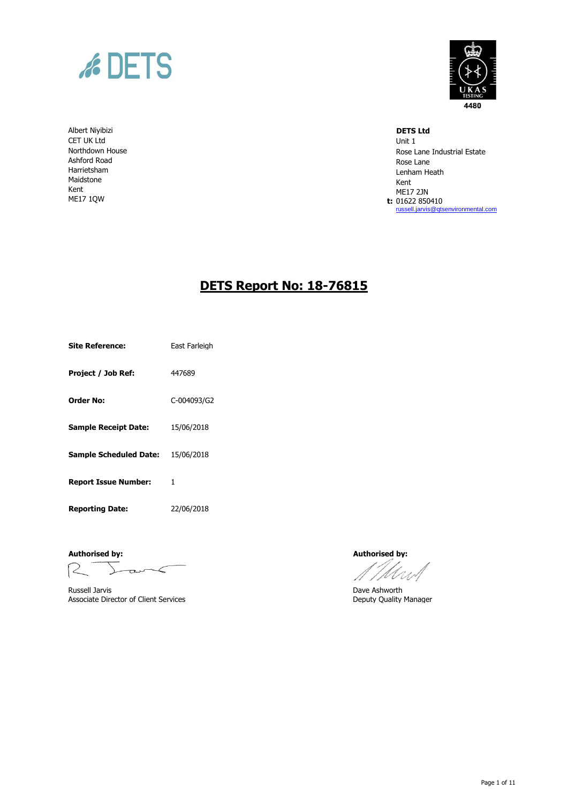

Albert Niyibizi **DETS Ltd** CET UK Ltd Unit 1 Northdown House Ashford Road Harrietsham Maidstone Kent ME17 1QW



Rose Lane Industrial Estate Rose Lane Lenham Heath Kent ME17 2JN **t:** 01622 850410 [russell.jarvis@qtsenvironmental.com](mailto:russell.jarvis@qtsenvironmental.com)

# **DETS Report No: 18-76815**

**Site Reference:** East Farleigh

**Project / Job Ref:** 447689

**Order No:** C-004093/G2

**Sample Receipt Date:** 15/06/2018

**Sample Scheduled Date:** 15/06/2018

**Report Issue Number:** 1

**Reporting Date:** 22/06/2018

**Authorised by: Authorised by:**

 $R^{-}$  $L$ ark

Russell Jarvis **Exercise 2 (2018)**<br>
Associate Director of Client Services **Ashworth**<br>
Deputy Quality Manager Associate Director of Client Services

Mw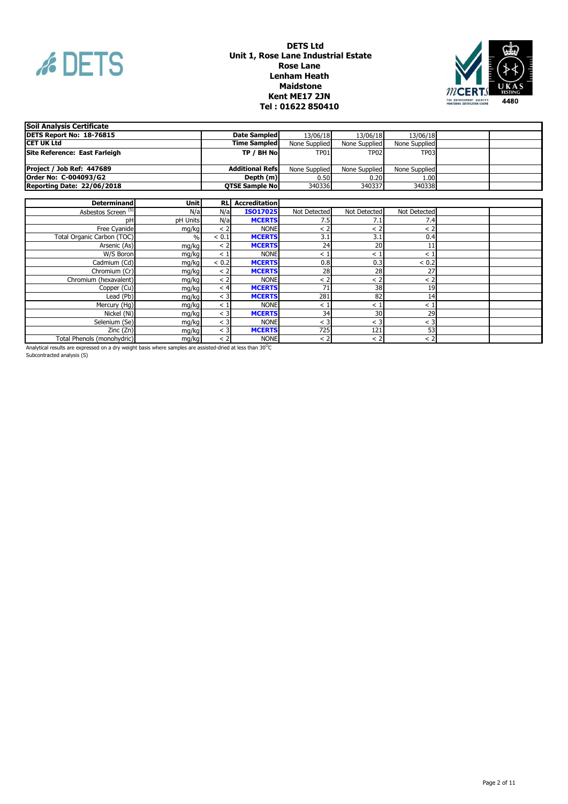



| Soil Analysis Certificate         |                         |               |               |               |  |
|-----------------------------------|-------------------------|---------------|---------------|---------------|--|
| DETS Report No: 18-76815          | Date Sampled            | 13/06/18      | 13/06/18      | 13/06/18      |  |
| ICET UK Ltd                       | <b>Time Sampled</b>     | None Supplied | None Supplied | None Supplied |  |
| Site Reference: East Farleigh     | TP / BH Nol             | <b>TP01</b>   | <b>TP02</b>   | TP03          |  |
|                                   |                         |               |               |               |  |
| Project / Job Ref: 447689         | <b>Additional Refsi</b> | None Supplied | None Supplied | None Supplied |  |
| Order No: C-004093/G2             | Depth (m)               | 0.50          | 0.20          | 1.00          |  |
| <b>Reporting Date: 22/06/2018</b> | <b>QTSE Sample No</b>   | 340336        | 340337        | 340338        |  |
|                                   |                         |               |               |               |  |

| <b>Determinand</b>             | <b>Unit</b> | <b>RLI</b> | <b>Accreditation</b> |              |              |              |  |
|--------------------------------|-------------|------------|----------------------|--------------|--------------|--------------|--|
| Asbestos Screen <sup>(S)</sup> | N/a         | N/a        | ISO17025             | Not Detected | Not Detected | Not Detected |  |
| рH                             | pH Units    | N/a        | <b>MCERTS</b>        | 7.5          | 7.1          | 7.4          |  |
| Free Cyanide                   | mg/kg       | < 2        | <b>NONE</b>          | < 2          | < 2          | < 2          |  |
| Total Organic Carbon (TOC)     | $\%$        | < 0.1      | <b>MCERTS</b>        | 3.1          | 3.1          | 0.4          |  |
| Arsenic (As)                   | mg/kg       | < 2        | <b>MCERTS</b>        | 24           | 20           | 11           |  |
| W/S Boron                      | mg/kg       | $\leq$ 1   | <b>NONE</b>          | <            | $\,<\,$      | $\lt$ 1      |  |
| Cadmium (Cd)                   | mg/kg       | < 0.2      | <b>MCERTS</b>        | 0.8          | 0.3          | < 0.2        |  |
| Chromium (Cr)                  | mg/kg       | $\leq$ 2   | <b>MCERTS</b>        | 28           | 28           | 27           |  |
| Chromium (hexavalent)          | mg/kg       | < 2        | <b>NONE</b>          | < 2          | < 2          | < 2          |  |
| Copper (Cu)                    | mg/kg       | $\leq 4$   | <b>MCERTS</b>        | 71           | 38           | 19           |  |
| Lead (Pb)                      | mg/kg       | $<$ 3      | <b>MCERTS</b>        | 281          | 82           | 14           |  |
| Mercury (Hg)                   | mg/kg       | $\leq 1$   | <b>NONE</b>          | $\lt$ 1      | $\,<\,$      | $\,<\,$      |  |
| Nickel (Ni)                    | mg/kg       | < 3        | <b>MCERTS</b>        | 34           | 30           | 29           |  |
| Selenium (Se)                  | mg/kg       | < 3        | <b>NONE</b>          | $<$ 3        | $<$ 3        | $<$ 3        |  |
| Zinc(Zn)                       | mg/kg       | $<$ 3      | <b>MCERTS</b>        | 725          | 121          | 53           |  |
| Total Phenols (monohydric)     | mg/kg       | < 2        | <b>NONE</b>          | < 2          | < 2          | < 2          |  |

Analytical results are expressed on a dry weight basis where samples are assisted-dried at less than 30 $^{\rm O}$ C

Subcontracted analysis (S)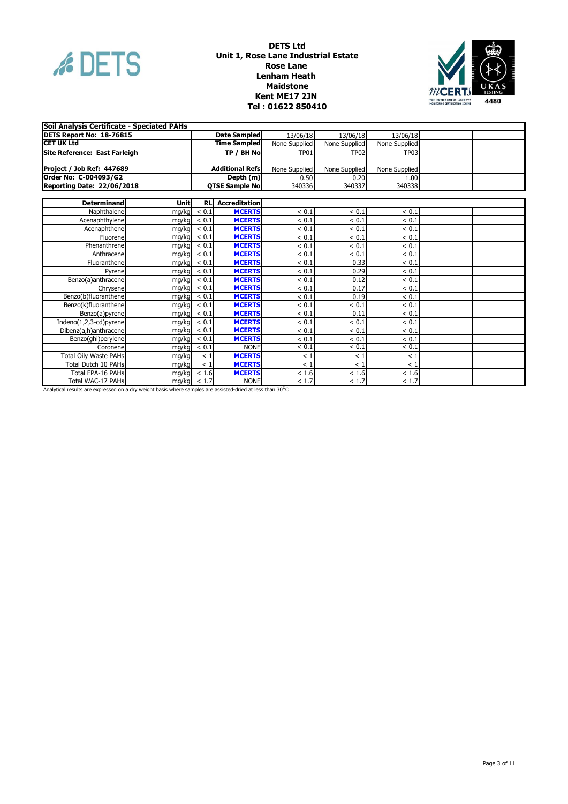



| Soil Analysis Certificate - Speciated PAHs |       |       |                         |               |               |               |  |
|--------------------------------------------|-------|-------|-------------------------|---------------|---------------|---------------|--|
| DETS Report No: 18-76815                   |       |       | <b>Date Sampled</b>     | 13/06/18      | 13/06/18      | 13/06/18      |  |
| <b>CET UK Ltd</b>                          |       |       | <b>Time Sampled</b>     | None Supplied | None Supplied | None Supplied |  |
| Site Reference: East Farleigh              |       |       | TP / BH No              | <b>TP01</b>   | <b>TP02</b>   | <b>TP03</b>   |  |
| Project / Job Ref: 447689                  |       |       | <b>Additional Refs</b>  | None Supplied | None Supplied | None Supplied |  |
| Order No: C-004093/G2                      |       |       | Depth (m)               | 0.50          | 0.20          | 1.00          |  |
| <b>Reporting Date: 22/06/2018</b>          |       |       | <b>QTSE Sample No</b>   | 340336        | 340337        | 340338        |  |
|                                            |       |       |                         |               |               |               |  |
| <b>Determinand</b>                         | Unitl |       | <b>RL</b> Accreditation |               |               |               |  |
| Naphthalene                                | mg/kg | < 0.1 | <b>MCERTS</b>           | < 0.1         | < 0.1         | ${}< 0.1$     |  |
| Acenaphthylene                             | mg/kg | < 0.1 | <b>MCERTS</b>           | < 0.1         | < 0.1         | < 0.1         |  |
| Acenaphthene                               | ma/ka | < 0.1 | <b>MCERTS</b>           | < 0.1         | < 0.1         | < 0.1         |  |
| Fluorene                                   | mg/kg | < 0.1 | <b>MCERTS</b>           | < 0.1         | < 0.1         | < 0.1         |  |
| Phenanthrene                               | mg/kg | < 0.1 | <b>MCERTS</b>           | < 0.1         | < 0.1         | ${}< 0.1$     |  |
| Anthracene                                 | mg/kg | < 0.1 | <b>MCERTS</b>           | < 0.1         | < 0.1         | ${}< 0.1$     |  |
| Fluoranthene                               | mg/kg | < 0.1 | <b>MCERTS</b>           | < 0.1         | 0.33          | < 0.1         |  |
| Pyrene                                     | mg/kg | < 0.1 | <b>MCERTS</b>           | < 0.1         | 0.29          | < 0.1         |  |
| Benzo(a)anthracene                         | mg/kg | < 0.1 | <b>MCERTS</b>           | < 0.1         | 0.12          | < 0.1         |  |
| Chrysene                                   | mg/kg | < 0.1 | <b>MCERTS</b>           | < 0.1         | 0.17          | < 0.1         |  |
| Benzo(b)fluoranthene                       | mg/kg | < 0.1 | <b>MCERTS</b>           | < 0.1         | 0.19          | < 0.1         |  |
| Benzo(k)fluoranthene                       | mg/kg | < 0.1 | <b>MCERTS</b>           | < 0.1         | < 0.1         | < 0.1         |  |
| Benzo(a)pyrene                             | mg/kg | < 0.1 | <b>MCERTS</b>           | < 0.1         | 0.11          | < 0.1         |  |
| Indeno(1,2,3-cd)pyrene                     | mg/kg | < 0.1 | <b>MCERTS</b>           | < 0.1         | < 0.1         | < 0.1         |  |
| Dibenz(a,h)anthracene                      | mg/kg | < 0.1 | <b>MCERTS</b>           | < 0.1         | < 0.1         | < 0.1         |  |
| Benzo(ghi)perylene                         | mg/kg | < 0.1 | <b>MCERTS</b>           | < 0.1         | < 0.1         | ${}< 0.1$     |  |
| Coronene                                   | ma/ka | < 0.1 | <b>NONE</b>             | < 0.1         | < 0.1         | < 0.1         |  |
| <b>Total Oily Waste PAHs</b>               | mg/kg | $<$ 1 | <b>MCERTS</b>           | $<$ 1         | < 1           | < 1           |  |
| Total Dutch 10 PAHs                        | mg/kg | < 1   | <b>MCERTS</b>           | < 1           | < 1           | < 1           |  |
| Total EPA-16 PAHs                          | mg/kg | < 1.6 | <b>MCERTS</b>           | < 1.6         | < 1.6         | < 1.6         |  |
| Total WAC-17 PAHs                          | mg/kg | < 1.7 | <b>NONE</b>             | < 1.7         | < 1.7         | < 1.7         |  |

Analytical results are expressed on a dry weight basis where samples are assisted-dried at less than 30 $^{\circ}$ C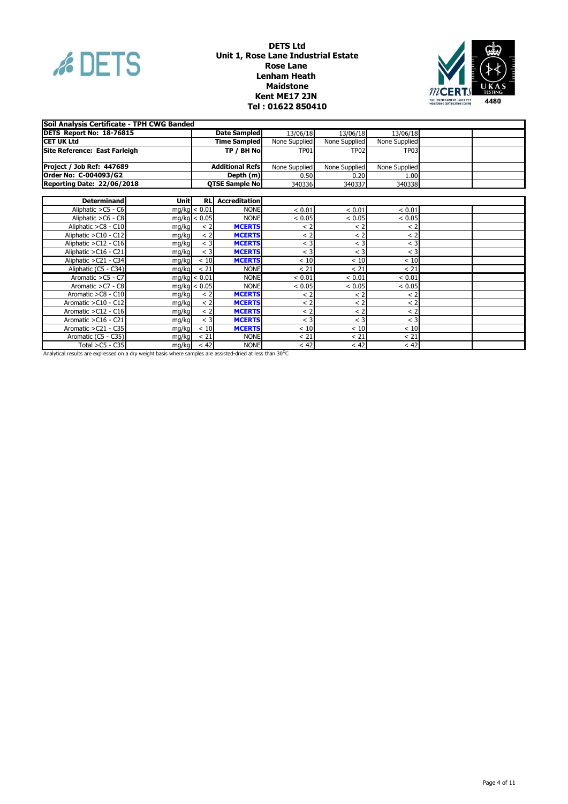



| Soil Analysis Certificate - TPH CWG Banded |       |              |                         |               |               |               |  |
|--------------------------------------------|-------|--------------|-------------------------|---------------|---------------|---------------|--|
| DETS Report No: 18-76815                   |       |              | <b>Date Sampled</b>     | 13/06/18      | 13/06/18      | 13/06/18      |  |
| <b>CET UK Ltd</b>                          |       |              | <b>Time Sampled</b>     | None Supplied | None Supplied | None Supplied |  |
| Site Reference: East Farleigh              |       |              | TP / BH No              | TP01          | <b>TP02</b>   | <b>TP03</b>   |  |
|                                            |       |              |                         |               |               |               |  |
| Project / Job Ref: 447689                  |       |              | <b>Additional Refs</b>  | None Supplied | None Supplied | None Supplied |  |
| Order No: C-004093/G2                      |       |              | Depth (m)               | 0.50          | 0.20          | 1.00          |  |
| <b>Reporting Date: 22/06/2018</b>          |       |              | <b>QTSE Sample No</b>   | 340336        | 340337        | 340338        |  |
|                                            |       |              |                         |               |               |               |  |
| <b>Determinand</b>                         | Unitl |              | <b>RL</b> Accreditation |               |               |               |  |
| Aliphatic >C5 - C6                         |       | mg/kg < 0.01 | <b>NONE</b>             | < 0.01        | < 0.01        | < 0.01        |  |
| Aliphatic >C6 - C8                         |       | mg/kg < 0.05 | <b>NONE</b>             | < 0.05        | < 0.05        | < 0.05        |  |
| Aliphatic >C8 - C10                        | mg/kg | < 2          | <b>MCERTS</b>           | < 2           | $<$ 2         | < 2           |  |
| Aliphatic > C10 - C12                      | mg/kg | < 2          | <b>MCERTS</b>           | < 2           | $<$ 2         | < 2           |  |
| Aliphatic > C12 - C16                      | mg/kg | $<$ 3        | <b>MCERTS</b>           | $<$ 3         | $<$ 3         | $<$ 3         |  |
| Aliphatic > C16 - C21                      | mg/kg | $<$ 3        | <b>MCERTS</b>           | $<$ 3         | $\leq$ 3      | $<$ 3         |  |
| Aliphatic > C21 - C34                      | mg/kg | < 10         | <b>MCERTS</b>           | < 10          | < 10          | < 10          |  |
| Aliphatic (C5 - C34)                       | mg/kg | < 21         | <b>NONE</b>             | < 21          | < 21          | < 21          |  |
| Aromatic >C5 - C7                          |       | mg/kg < 0.01 | <b>NONE</b>             | < 0.01        | < 0.01        | < 0.01        |  |
| Aromatic >C7 - C8                          |       | mg/kg < 0.05 | <b>NONE</b>             | < 0.05        | < 0.05        | < 0.05        |  |
| Aromatic > C8 - C10                        | mg/kg | < 2          | <b>MCERTS</b>           | < 2           | < 2           | < 2           |  |
| Aromatic $>$ C10 - C12                     | mg/kg | < 2          | <b>MCERTS</b>           | < 2           | < 2           | < 2           |  |
| Aromatic > C12 - C16                       | mg/kg | < 2          | <b>MCERTS</b>           | < 2           | < 2           | < 2           |  |
| Aromatic > C16 - C21                       | mg/kg | $<$ 3        | <b>MCERTS</b>           | $<$ 3         | $<$ 3         | $<$ 3         |  |
| Aromatic > C21 - C35                       | mg/kg | < 10         | <b>MCERTS</b>           | < 10          | < 10          | < 10          |  |
| Aromatic (C5 - C35)                        | mg/kg | < 21         | <b>NONE</b>             | < 21          | < 21          | < 21          |  |
| Total $>$ C5 - C35                         | mg/kg | < 42         | <b>NONE</b>             | < 42          | $<$ 42        | < 42          |  |

Analytical results are expressed on a dry weight basis where samples are assisted-dried at less than 30 $^{\rm O}$ C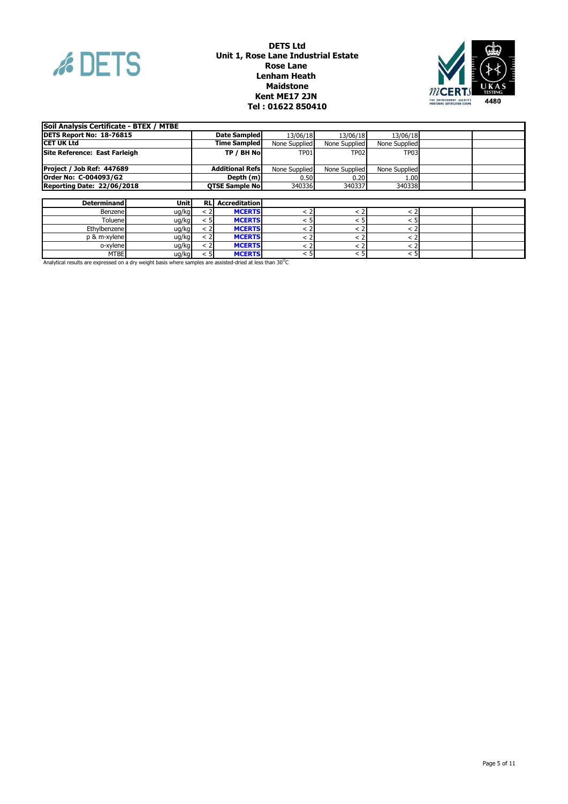



| Soil Analysis Certificate - BTEX / MTBE |       |      |                         |               |                  |               |  |
|-----------------------------------------|-------|------|-------------------------|---------------|------------------|---------------|--|
| DETS Report No: 18-76815                |       |      | Date Sampled            | 13/06/18      | 13/06/18         | 13/06/18      |  |
| <b>ICET UK Ltd</b>                      |       |      | <b>Time Sampled</b>     | None Supplied | None Supplied    | None Supplied |  |
| <b>Site Reference: East Farleigh</b>    |       |      | TP / BH Nol             | <b>TP01</b>   | <b>TP02</b>      | <b>TP03</b>   |  |
| Project / Job Ref: 447689               |       |      | <b>Additional Refsl</b> | None Supplied | None Supplied    | None Supplied |  |
| Order No: C-004093/G2                   |       |      | Depth (m)               | 0.50          | 0.20             | 1.00          |  |
| Reporting Date: 22/06/2018              |       |      | <b>OTSE Sample No!</b>  | 340336        | 340337           | 340338        |  |
|                                         |       |      |                         |               |                  |               |  |
| <b>Determinand</b>                      | Unitl |      | <b>RL</b> Accreditation |               |                  |               |  |
| Benzene                                 | ug/kg | < 21 | <b>MCERTS</b>           |               |                  | < 2           |  |
| Toluenel                                | ug/kg | < 51 | <b>MCERTS</b>           | < 5           | < 5              | < 5           |  |
| Ethylbenzene                            | ug/kg | < 2  | <b>MCERTS</b>           | < 2           | $\langle$ 2      | < 2           |  |
| p & m-xylene                            | ug/kg | < 21 | <b>MCERTS</b>           |               |                  | < 2           |  |
| o-xylene                                | ug/kg | < 2  | <b>MCERTS</b>           | < 2           | < 2              | < 21          |  |
| <b>MTBE</b>                             | ug/kg | < 51 | <b>MCERTS</b>           | < 51          | < 5 <sup>1</sup> | < 5           |  |

MTBE ug/kg < 5 **MCERTS** < 5 < 5 < 5 Analytical results are expressed on a dry weight basis where samples are assisted-dried at less than 30 $^{\rm O}$ C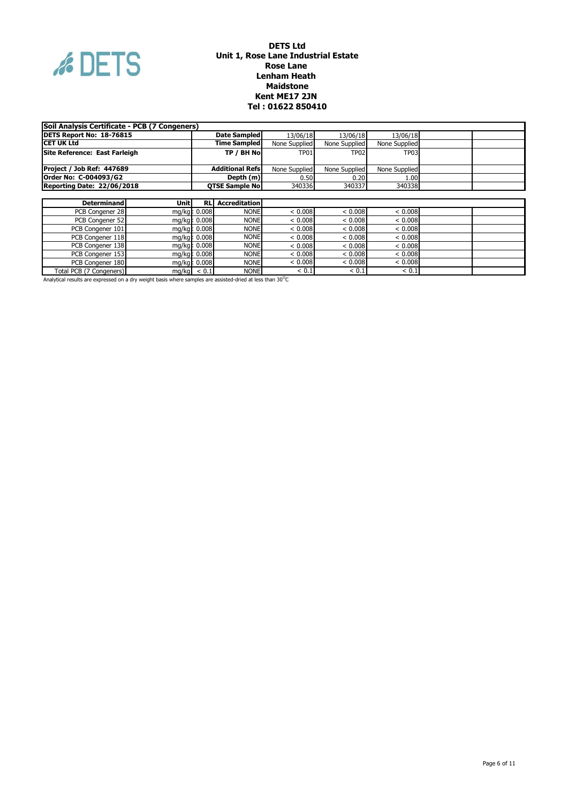

| Soil Analysis Certificate - PCB (7 Congeners) |                                                     |               |                         |               |               |               |  |
|-----------------------------------------------|-----------------------------------------------------|---------------|-------------------------|---------------|---------------|---------------|--|
| DETS Report No: 18-76815                      |                                                     |               | Date Sampled            | 13/06/18      | 13/06/18      | 13/06/18      |  |
| <b>ICET UK Ltd</b>                            |                                                     |               | <b>Time Sampled</b>     | None Supplied | None Supplied | None Supplied |  |
| Site Reference: East Farleigh                 |                                                     |               | TP / BH No              | TP01          | <b>TP02</b>   | <b>TP03</b>   |  |
|                                               |                                                     |               |                         |               |               |               |  |
| Project / Job Ref: 447689                     |                                                     |               | <b>Additional Refs</b>  | None Supplied | None Supplied | None Supplied |  |
| Order No: C-004093/G2                         |                                                     |               | Depth (m)               | 0.50          | 0.20          | 1.00          |  |
|                                               | Reporting Date: 22/06/2018<br><b>OTSE Sample No</b> |               | 340336                  | 340337        | 340338        |               |  |
|                                               |                                                     |               |                         |               |               |               |  |
| <b>Determinand</b>                            | Unitl                                               |               | <b>RL</b> Accreditation |               |               |               |  |
| PCB Congener 28                               |                                                     | mg/kg c 0.008 | <b>NONE</b>             | < 0.008       | < 0.008       | < 0.008       |  |
| PCB Congener 52                               |                                                     | mg/kg c 0.008 | <b>NONE</b>             | < 0.008       | < 0.008       | < 0.008       |  |
| PCB Congener 101                              |                                                     | mg/kg c 0.008 | <b>NONE</b>             | < 0.008       | ${}< 0.008$   | < 0.008       |  |
| PCB Congener 118                              |                                                     | mg/kg t 0.008 | <b>NONE</b>             | < 0.008       | < 0.008       | < 0.008       |  |
| PCB Congener 138                              |                                                     | mg/kg t 0.008 | <b>NONE</b>             | < 0.008       | < 0.008       | < 0.008       |  |
| PCB Congener 153                              | mg/kg  0.008                                        |               | <b>NONE</b>             | < 0.008       | < 0.008       | < 0.008       |  |
| PCB Congener 180                              | mg/kg t 0.008                                       |               | <b>NONE</b>             | < 0.008       | < 0.008       | < 0.008       |  |
| Total PCB (7 Congeners)                       |                                                     | $mg/kg$ < 0.1 | <b>NONE</b>             | < 0.1         | ${}< 0.1$     | < 0.1         |  |

Analytical results are expressed on a dry weight basis where samples are assisted-dried at less than 30 $^{\circ}$ C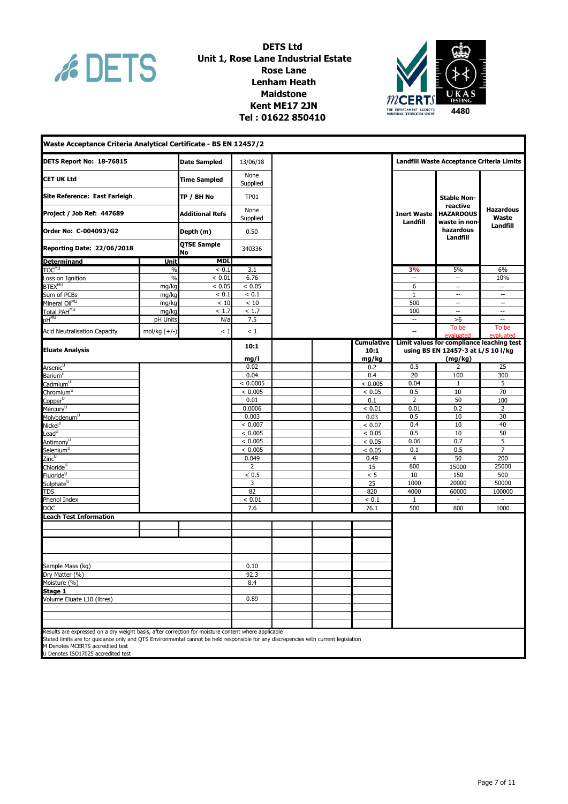

## **Kent ME17 2JN DETS Ltd Unit 1, Rose Lane Industrial Estate Rose Lane Lenham Heath Maidstone THE ENVIRONMENT AGENCY'S**<br> **Tel : 01622 850410 PONITORING CONTINUES AGENCY**



| Waste Acceptance Criteria Analytical Certificate - BS EN 12457/2                                                                                                                                              |                |                          |                  |            |                                |                                               |                                           |
|---------------------------------------------------------------------------------------------------------------------------------------------------------------------------------------------------------------|----------------|--------------------------|------------------|------------|--------------------------------|-----------------------------------------------|-------------------------------------------|
| DETS Report No: 18-76815                                                                                                                                                                                      |                | <b>Date Sampled</b>      | 13/06/18         |            |                                | Landfill Waste Acceptance Criteria Limits     |                                           |
| <b>CET UK Ltd</b>                                                                                                                                                                                             |                | <b>Time Sampled</b>      | None<br>Supplied |            |                                |                                               |                                           |
| Site Reference: East Farleigh                                                                                                                                                                                 |                | TP / BH No               | <b>TP01</b>      |            |                                | <b>Stable Non-</b>                            |                                           |
| Project / Job Ref: 447689                                                                                                                                                                                     |                | <b>Additional Refs</b>   | None<br>Supplied |            | <b>Inert Waste</b><br>Landfill | reactive<br><b>HAZARDOUS</b><br>waste in non- | <b>Hazardous</b><br>Waste                 |
| Order No: C-004093/G2                                                                                                                                                                                         |                | Depth (m)                | 0.50             |            |                                | hazardous<br>Landfill                         | Landfill                                  |
| <b>Reporting Date: 22/06/2018</b>                                                                                                                                                                             |                | <b>QTSE Sample</b><br>No | 340336           |            |                                |                                               |                                           |
| <b>Determinand</b>                                                                                                                                                                                            | <b>Unit</b>    | <b>MDL</b>               |                  |            |                                |                                               |                                           |
| TOC <sup>MU</sup>                                                                                                                                                                                             | %              | < 0.1                    | 3.1              |            | 3%                             | 5%                                            | 6%                                        |
| Loss on Ignition                                                                                                                                                                                              | $\frac{0}{0}$  | < 0.01                   | 6.76             |            | $\ddotsc$                      | $\overline{\phantom{a}}$                      | 10%                                       |
| <b>BTEX<sup>MU</sup></b>                                                                                                                                                                                      | mg/kg          | < 0.05                   | < 0.05           |            | 6                              | $\overline{\phantom{a}}$                      | $\overline{\phantom{a}}$                  |
| Sum of PCBs                                                                                                                                                                                                   | mg/kg          | < 0.1                    | < 0.1            |            | $\mathbf{1}$                   | $\overline{\phantom{a}}$                      | $\overline{\phantom{a}}$                  |
| Mineral Oil <sup>MU</sup>                                                                                                                                                                                     | mg/kg          | < 10                     | < 10             |            | 500                            | $\overline{\phantom{a}}$                      | $\overline{\phantom{a}}$                  |
| Total PAH <sup>MU</sup>                                                                                                                                                                                       | mg/kg          | < 1.7                    | < 1.7            |            | 100                            | $\overline{\phantom{a}}$                      | $\overline{\phantom{a}}$                  |
| $pH^{MU}$                                                                                                                                                                                                     | pH Units       | N/a                      | 7.5              |            | $\overline{\phantom{a}}$       | >6                                            | $\overline{\phantom{a}}$                  |
| <b>Acid Neutralisation Capacity</b>                                                                                                                                                                           | mol/kg $(+/-)$ | < 1                      | $\leq 1$         |            | $\overline{a}$                 | To be<br>evaluated                            | To be<br>evaluated                        |
|                                                                                                                                                                                                               |                |                          | 10:1             | Cumulative |                                |                                               | Limit values for compliance leaching test |
| <b>Eluate Analysis</b>                                                                                                                                                                                        |                |                          |                  | 10:1       |                                | using BS EN 12457-3 at L/S 10 l/kg            |                                           |
|                                                                                                                                                                                                               |                |                          | mg/l             | mg/kg      |                                | (mg/kg)                                       |                                           |
| Arsenic <sup>U</sup>                                                                                                                                                                                          |                |                          | 0.02             | 0.2        | 0.5                            | 2                                             | 25                                        |
| Barium <sup>U</sup>                                                                                                                                                                                           |                |                          | 0.04             | 0.4        | 20                             | 100                                           | 300                                       |
| Cadmium $\overline{u}$                                                                                                                                                                                        |                |                          | < 0.0005         | < 0.005    | 0.04                           | 1                                             | 5                                         |
| Chromium <sup>U</sup>                                                                                                                                                                                         |                |                          | < 0.005          | < 0.05     | 0.5                            | 10                                            | 70                                        |
| $Copper^{\cup}$                                                                                                                                                                                               |                |                          | 0.01             | 0.1        | 2                              | 50                                            | 100                                       |
| Mercury <sup>U</sup>                                                                                                                                                                                          |                |                          | 0.0006           | < 0.01     | 0.01                           | 0.2                                           | $\overline{2}$                            |
| Molybdenum <sup>U</sup>                                                                                                                                                                                       |                |                          | 0.003            | 0.03       | 0.5                            | 10                                            | 30                                        |
| Nickel <sup>U</sup>                                                                                                                                                                                           |                |                          | < 0.007          | < 0.07     | 0.4                            | 10                                            | 40                                        |
| $\overline{\text{lead}^{\text{U}}}$                                                                                                                                                                           |                |                          | < 0.005          | < 0.05     | 0.5                            | 10                                            | 50                                        |
| Antimony <sup>U</sup>                                                                                                                                                                                         |                |                          | < 0.005          | < 0.05     | 0.06                           | 0.7                                           | 5                                         |
| Selenium <sup>U</sup>                                                                                                                                                                                         |                |                          | < 0.005          | < 0.05     | 0.1                            | 0.5                                           | $\overline{7}$                            |
| Zinc <sup>u</sup>                                                                                                                                                                                             |                |                          | 0.049            | 0.49       | 4                              | 50                                            | 200                                       |
| Chloride <sup>U</sup>                                                                                                                                                                                         |                |                          | 2                | 15         | 800                            | 15000                                         | 25000                                     |
| Fluoride <sup>U</sup>                                                                                                                                                                                         |                |                          | < 0.5            | < 5        | 10                             | 150                                           | 500                                       |
| Sulphate <sup>U</sup>                                                                                                                                                                                         |                |                          | 3                | 25         | 1000                           | 20000                                         | 50000                                     |
| TDS                                                                                                                                                                                                           |                |                          | 82               | 820        | 4000                           | 60000                                         | 100000                                    |
| Phenol Index                                                                                                                                                                                                  |                |                          | < 0.01           | < 0.1      | 1                              | $\overline{\phantom{a}}$                      | $\blacksquare$                            |
| <b>DOC</b>                                                                                                                                                                                                    |                |                          | 7.6              | 76.1       | 500                            | 800                                           | 1000                                      |
| <b>Leach Test Information</b>                                                                                                                                                                                 |                |                          |                  |            |                                |                                               |                                           |
|                                                                                                                                                                                                               |                |                          |                  |            |                                |                                               |                                           |
|                                                                                                                                                                                                               |                |                          |                  |            |                                |                                               |                                           |
|                                                                                                                                                                                                               |                |                          |                  |            |                                |                                               |                                           |
|                                                                                                                                                                                                               |                |                          |                  |            |                                |                                               |                                           |
| Sample Mass (kg)                                                                                                                                                                                              |                |                          | 0.10             |            |                                |                                               |                                           |
| Dry Matter (%)                                                                                                                                                                                                |                |                          | 92.3             |            |                                |                                               |                                           |
| Moisture (%)                                                                                                                                                                                                  |                |                          | 8.4              |            |                                |                                               |                                           |
| Stage 1                                                                                                                                                                                                       |                |                          |                  |            |                                |                                               |                                           |
| Volume Eluate L10 (litres)                                                                                                                                                                                    |                |                          | 0.89             |            |                                |                                               |                                           |
|                                                                                                                                                                                                               |                |                          |                  |            |                                |                                               |                                           |
|                                                                                                                                                                                                               |                |                          |                  |            |                                |                                               |                                           |
| Results are expressed on a dry weight basis, after correction for moisture content where applicable                                                                                                           |                |                          |                  |            |                                |                                               |                                           |
| Stated limits are for quidance only and QTS Environmental cannot be held responsible for any discrepencies with current legislation<br>M Denotes MCERTS accredited test<br>U Denotes ISO17025 accredited test |                |                          |                  |            |                                |                                               |                                           |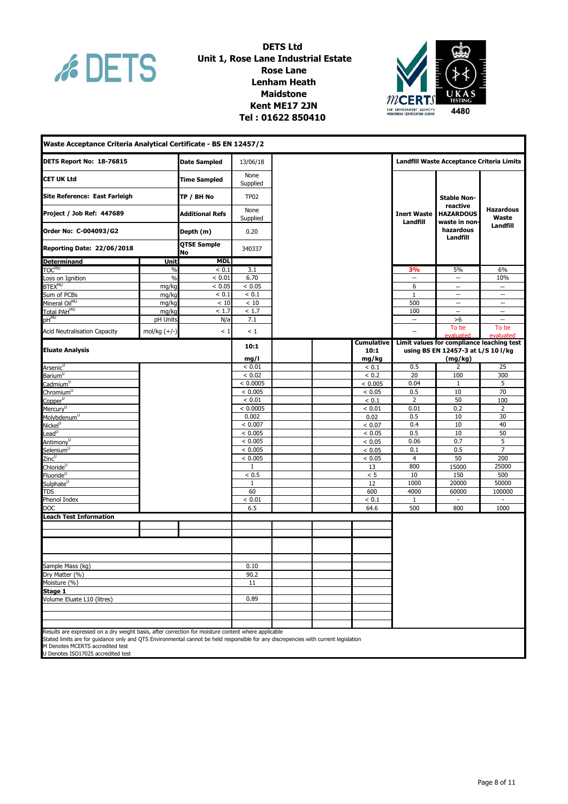

## **DETS Ltd Unit 1, Rose Lane Industrial Estate Rose Lane Lenham Heath Maidstone Kent ME17 2JN THE ENVIRONMENT AGENCY'S**<br> **Tel : 01622 850410 PONITORING CONTINUES AGENCY**



| Waste Acceptance Criteria Analytical Certificate - BS EN 12457/2                                                                                                                                              |                |                          |                  |            |                                |                                               |                                           |
|---------------------------------------------------------------------------------------------------------------------------------------------------------------------------------------------------------------|----------------|--------------------------|------------------|------------|--------------------------------|-----------------------------------------------|-------------------------------------------|
| DETS Report No: 18-76815                                                                                                                                                                                      |                | <b>Date Sampled</b>      | 13/06/18         |            |                                | Landfill Waste Acceptance Criteria Limits     |                                           |
| <b>CET UK Ltd</b>                                                                                                                                                                                             |                | <b>Time Sampled</b>      | None<br>Supplied |            |                                |                                               |                                           |
| Site Reference: East Farleigh                                                                                                                                                                                 |                | TP / BH No               | <b>TP02</b>      |            |                                | <b>Stable Non-</b>                            |                                           |
| Project / Job Ref: 447689                                                                                                                                                                                     |                | <b>Additional Refs</b>   | None<br>Supplied |            | <b>Inert Waste</b><br>Landfill | reactive<br><b>HAZARDOUS</b><br>waste in non- | <b>Hazardous</b><br>Waste                 |
| Order No: C-004093/G2                                                                                                                                                                                         |                | Depth (m)                | 0.20             |            |                                | hazardous<br>Landfill                         | Landfill                                  |
| <b>Reporting Date: 22/06/2018</b>                                                                                                                                                                             |                | <b>QTSE Sample</b><br>No | 340337           |            |                                |                                               |                                           |
| <b>Determinand</b>                                                                                                                                                                                            | <b>Unit</b>    | <b>MDL</b>               |                  |            |                                |                                               |                                           |
| TOC <sup>MU</sup>                                                                                                                                                                                             | %              | < 0.1                    | 3.1              |            | 3%                             | 5%                                            | 6%                                        |
| Loss on Ignition                                                                                                                                                                                              | $\frac{0}{0}$  | < 0.01                   | 6.70             |            | $\ddotsc$                      | $\overline{\phantom{a}}$                      | 10%                                       |
| <b>BTEX<sup>MU</sup></b>                                                                                                                                                                                      | mg/kg          | < 0.05                   | < 0.05           |            | 6                              | $\overline{\phantom{a}}$                      | $\overline{\phantom{a}}$                  |
| Sum of PCBs                                                                                                                                                                                                   | mg/kg          | < 0.1                    | < 0.1            |            | $\mathbf{1}$                   | $\overline{\phantom{a}}$                      | $\overline{\phantom{a}}$                  |
| Mineral Oil <sup>MU</sup>                                                                                                                                                                                     | mg/kg          | < 10                     | < 10             |            | 500                            | $\overline{\phantom{a}}$                      | $\overline{\phantom{a}}$                  |
| Total PAH <sup>MU</sup>                                                                                                                                                                                       | mg/kg          | < 1.7                    | < 1.7            |            | 100                            | $\overline{\phantom{a}}$                      | $\overline{\phantom{a}}$                  |
| $pH^{MU}$                                                                                                                                                                                                     | pH Units       | N/a                      | 7.1              |            | $\overline{\phantom{a}}$       | >6                                            | $\overline{\phantom{a}}$                  |
| <b>Acid Neutralisation Capacity</b>                                                                                                                                                                           | mol/kg $(+/-)$ | < 1                      | < 1              |            | $\overline{a}$                 | To be<br>evaluated                            | To be<br>evaluated                        |
|                                                                                                                                                                                                               |                |                          | 10:1             | Cumulative |                                |                                               | Limit values for compliance leaching test |
| <b>Eluate Analysis</b>                                                                                                                                                                                        |                |                          |                  | 10:1       |                                | using BS EN 12457-3 at L/S 10 l/kg            |                                           |
|                                                                                                                                                                                                               |                |                          | mg/l             | mg/kg      |                                | (mg/kg)                                       |                                           |
| Arsenic <sup>U</sup>                                                                                                                                                                                          |                |                          | < 0.01           | ${}< 0.1$  | 0.5                            | 2                                             | 25                                        |
| Barium <sup>U</sup>                                                                                                                                                                                           |                |                          | < 0.02           | < 0.2      | 20                             | 100                                           | 300                                       |
| Cadmium $\overline{u}$                                                                                                                                                                                        |                |                          | < 0.0005         | < 0.005    | 0.04                           | 1                                             | 5                                         |
| Chromium <sup>U</sup>                                                                                                                                                                                         |                |                          | < 0.005          | < 0.05     | 0.5                            | 10                                            | 70                                        |
| Copper <sup>U</sup>                                                                                                                                                                                           |                |                          | ${}< 0.01$       | ${}< 0.1$  | 2                              | 50                                            | 100                                       |
| Mercury <sup>U</sup>                                                                                                                                                                                          |                |                          | < 0.0005         | < 0.01     | 0.01                           | 0.2                                           | $\overline{2}$                            |
| Molybdenum <sup>U</sup>                                                                                                                                                                                       |                |                          | 0.002            | 0.02       | 0.5                            | 10                                            | 30                                        |
| Nickel <sup>U</sup>                                                                                                                                                                                           |                |                          | < 0.007          | < 0.07     | 0.4                            | 10                                            | 40                                        |
| $\overline{\text{lead}^{\text{U}}}$                                                                                                                                                                           |                |                          | < 0.005          | < 0.05     | 0.5                            | 10                                            | 50                                        |
| Antimony <sup>U</sup>                                                                                                                                                                                         |                |                          | < 0.005          | < 0.05     | 0.06                           | 0.7                                           | 5                                         |
| Selenium <sup>U</sup>                                                                                                                                                                                         |                |                          | < 0.005          | < 0.05     | 0.1                            | 0.5                                           | $\overline{7}$                            |
| Zinc <sup>u</sup>                                                                                                                                                                                             |                |                          | < 0.005          | < 0.05     | 4                              | 50                                            | 200                                       |
| Chloride <sup>U</sup>                                                                                                                                                                                         |                |                          | 1                | 13         | 800                            | 15000                                         | 25000                                     |
| Fluoride <sup>U</sup>                                                                                                                                                                                         |                |                          | < 0.5            | < 5        | 10                             | 150                                           | 500                                       |
| Sulphate <sup>U</sup>                                                                                                                                                                                         |                |                          | 1                | 12         | 1000                           | 20000                                         | 50000                                     |
| TDS                                                                                                                                                                                                           |                |                          | 60               | 600        | 4000                           | 60000                                         | 100000                                    |
| Phenol Index                                                                                                                                                                                                  |                |                          | < 0.01           | < 0.1      | 1                              | $\overline{\phantom{a}}$                      | $\blacksquare$                            |
| <b>DOC</b>                                                                                                                                                                                                    |                |                          | 6.5              | 64.6       | 500                            | 800                                           | 1000                                      |
| <b>Leach Test Information</b>                                                                                                                                                                                 |                |                          |                  |            |                                |                                               |                                           |
|                                                                                                                                                                                                               |                |                          |                  |            |                                |                                               |                                           |
|                                                                                                                                                                                                               |                |                          |                  |            |                                |                                               |                                           |
|                                                                                                                                                                                                               |                |                          |                  |            |                                |                                               |                                           |
|                                                                                                                                                                                                               |                |                          |                  |            |                                |                                               |                                           |
| Sample Mass (kg)                                                                                                                                                                                              |                |                          | 0.10             |            |                                |                                               |                                           |
| Dry Matter (%)                                                                                                                                                                                                |                |                          | 90.2             |            |                                |                                               |                                           |
| Moisture (%)                                                                                                                                                                                                  |                |                          | 11               |            |                                |                                               |                                           |
| Stage 1                                                                                                                                                                                                       |                |                          |                  |            |                                |                                               |                                           |
| Volume Eluate L10 (litres)                                                                                                                                                                                    |                |                          | 0.89             |            |                                |                                               |                                           |
|                                                                                                                                                                                                               |                |                          |                  |            |                                |                                               |                                           |
|                                                                                                                                                                                                               |                |                          |                  |            |                                |                                               |                                           |
| Results are expressed on a dry weight basis, after correction for moisture content where applicable                                                                                                           |                |                          |                  |            |                                |                                               |                                           |
| Stated limits are for quidance only and QTS Environmental cannot be held responsible for any discrepencies with current legislation<br>M Denotes MCERTS accredited test<br>U Denotes ISO17025 accredited test |                |                          |                  |            |                                |                                               |                                           |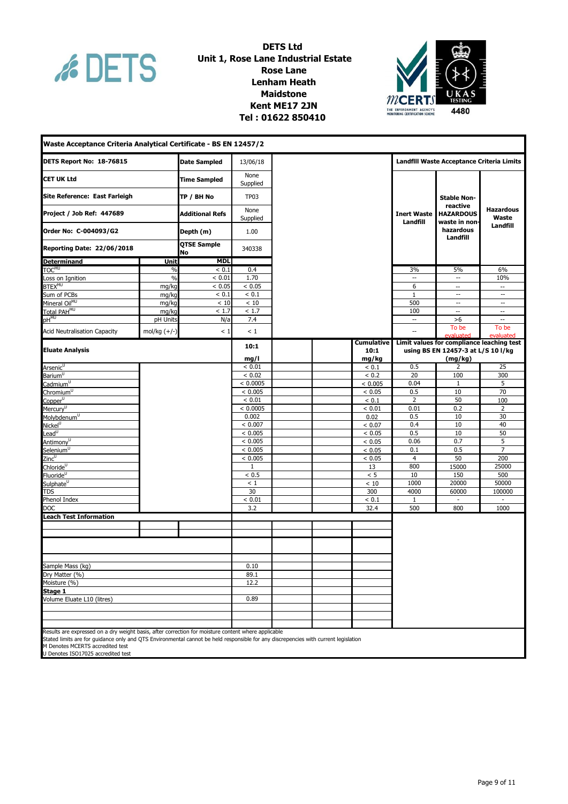

## **DETS Ltd Unit 1, Rose Lane Industrial Estate Rose Lane Lenham Heath Maidstone Kent ME17 2JN THE ENTITY CASE OF THE ENVIRONMENT AGENCYS**<br> **Tel : 01622 850410 PONITY CONTINUES CONFIGURATION**



| Waste Acceptance Criteria Analytical Certificate - BS EN 12457/2                                    |                        |                          |                  |                   |                                |                                                           |                           |
|-----------------------------------------------------------------------------------------------------|------------------------|--------------------------|------------------|-------------------|--------------------------------|-----------------------------------------------------------|---------------------------|
| DETS Report No: 18-76815                                                                            |                        | <b>Date Sampled</b>      | 13/06/18         |                   |                                | Landfill Waste Acceptance Criteria Limits                 |                           |
| <b>CET UK Ltd</b>                                                                                   |                        | <b>Time Sampled</b>      | None<br>Supplied |                   |                                |                                                           |                           |
| Site Reference: East Farleigh                                                                       |                        | TP / BH No               | <b>TP03</b>      |                   | <b>Stable Non-</b>             |                                                           |                           |
| Project / Job Ref: 447689                                                                           | <b>Additional Refs</b> |                          | None<br>Supplied |                   | <b>Inert Waste</b><br>Landfill | reactive<br><b>HAZARDOUS</b><br>waste in non <sup>.</sup> | <b>Hazardous</b><br>Waste |
| Order No: C-004093/G2                                                                               |                        | Depth (m)                | 1.00             |                   |                                | hazardous<br>Landfill                                     | Landfill                  |
| <b>Reporting Date: 22/06/2018</b>                                                                   |                        | <b>QTSE Sample</b><br>No | 340338           |                   |                                |                                                           |                           |
| <b>Determinand</b>                                                                                  | Unit                   | <b>MDL</b>               |                  |                   |                                |                                                           |                           |
| <b>TOCMU</b>                                                                                        | $\%$                   | ${}< 0.1$                | 0.4              |                   | 3%                             | 5%                                                        | 6%                        |
| Loss on Ignition                                                                                    | $\frac{0}{0}$          | < 0.01                   | 1.70             |                   | Ξ.                             | $\overline{a}$                                            | 10%                       |
| BTEX <sup>MU</sup>                                                                                  | mg/kg                  | < 0.05                   | < 0.05           |                   | 6                              | $\overline{\phantom{a}}$                                  | $\overline{\phantom{a}}$  |
| Sum of PCBs                                                                                         | mg/kg                  | < 0.1                    | < 0.1            |                   | $\mathbf{1}$                   | $\sim$                                                    | $\sim$                    |
| Mineral Oil <sup>MU</sup>                                                                           | mg/kg                  | < 10                     | $<10$            |                   | 500                            | $\overline{\phantom{a}}$                                  | $\overline{\phantom{a}}$  |
| Total PAH <sup>MU</sup>                                                                             | mg/kg                  | < 1.7                    | < 1.7            |                   | 100                            | $\overline{\phantom{a}}$                                  | $\sim$                    |
| pH <sup>M∪</sup>                                                                                    | pH Units               | N/a                      | 7.4              |                   | $\overline{\phantom{a}}$       | >6                                                        | ω.                        |
|                                                                                                     |                        |                          |                  |                   |                                | To be                                                     | To be                     |
| <b>Acid Neutralisation Capacity</b>                                                                 | mol/kg $(+/-)$         | $\leq 1$                 | < 1              |                   | Ξ.                             |                                                           |                           |
|                                                                                                     |                        |                          |                  | <b>Cumulative</b> |                                | Limit values for compliance leaching test                 |                           |
| <b>Eluate Analysis</b>                                                                              |                        |                          | 10:1             | 10:1              |                                | using BS EN 12457-3 at L/S 10 l/kg                        |                           |
|                                                                                                     |                        |                          | mg/l             | mg/kg             |                                | (mg/kg)                                                   |                           |
| Arsenic <sup>∪</sup>                                                                                |                        |                          | < 0.01           | ${}_{0.1}$        | 0.5                            | 2                                                         | 25                        |
| Barium <sup>U</sup>                                                                                 |                        |                          | < 0.02           | < 0.2             | 20                             | 100                                                       | 300                       |
| Cadmium <sup>U</sup>                                                                                |                        |                          | < 0.0005         | < 0.005           | 0.04                           | 1                                                         | 5                         |
| Chromium <sup>u</sup>                                                                               |                        |                          | < 0.005          | < 0.05            | 0.5                            | 10                                                        | 70                        |
| Copper <sup>U</sup>                                                                                 |                        |                          | ${}< 0.01$       | < 0.1             | $\overline{2}$                 | 50                                                        | 100                       |
| Mercury <sup>U</sup>                                                                                |                        |                          | < 0.0005         | < 0.01            | 0.01                           | 0.2                                                       | $\overline{2}$            |
| Molybdenum <sup>U</sup>                                                                             |                        |                          | 0.002            | 0.02              | 0.5                            | 10                                                        | 30                        |
| Nickel <sup>U</sup>                                                                                 |                        |                          | < 0.007          | < 0.07            | 0.4                            | 10                                                        | 40                        |
| Lead $^{\cup}$                                                                                      |                        |                          | < 0.005          | < 0.05            | 0.5                            | $10\,$                                                    | 50                        |
|                                                                                                     |                        |                          | < 0.005          | < 0.05            | 0.06                           | 0.7                                                       | 5                         |
| Antimony <sup>U</sup>                                                                               |                        |                          | < 0.005          |                   | 0.1                            | 0.5                                                       | $\overline{7}$            |
| Selenium <sup>U</sup><br>$\mathsf{Zinc}^\mathsf{U}$                                                 |                        |                          | < 0.005          | < 0.05            | $\overline{4}$                 | 50                                                        | 200                       |
|                                                                                                     |                        |                          |                  | < 0.05            |                                |                                                           |                           |
| Chloride <sup>U</sup>                                                                               |                        |                          | $\mathbf{1}$     | 13                | 800                            | 15000                                                     | 25000                     |
| Fluoride <sup>U</sup>                                                                               |                        |                          | < 0.5            | < 5               | 10                             | 150                                                       | 500                       |
| Sulphate <sup>U</sup>                                                                               |                        |                          | $\leq 1$         | < 10              | 1000                           | 20000                                                     | 50000                     |
| TDS                                                                                                 |                        |                          | 30               | 300               | 4000                           | 60000                                                     | 100000                    |
| Phenol Index                                                                                        |                        |                          | < 0.01           | ${}< 0.1$         | $\mathbf{1}$                   | $\overline{\phantom{a}}$                                  | $\blacksquare$            |
| <b>DOC</b>                                                                                          |                        |                          | 3.2              | 32.4              | 500                            | 800                                                       | 1000                      |
| <b>Leach Test Information</b>                                                                       |                        |                          |                  |                   |                                |                                                           |                           |
|                                                                                                     |                        |                          |                  |                   |                                |                                                           |                           |
|                                                                                                     |                        |                          |                  |                   |                                |                                                           |                           |
|                                                                                                     |                        |                          |                  |                   |                                |                                                           |                           |
|                                                                                                     |                        |                          |                  |                   |                                |                                                           |                           |
| Sample Mass (kg)                                                                                    |                        |                          | 0.10             |                   |                                |                                                           |                           |
| Dry Matter (%)                                                                                      |                        |                          | 89.1             |                   |                                |                                                           |                           |
| Moisture (%)                                                                                        |                        |                          | 12.2             |                   |                                |                                                           |                           |
| Stage 1                                                                                             |                        |                          |                  |                   |                                |                                                           |                           |
| Volume Eluate L10 (litres)                                                                          |                        |                          | 0.89             |                   |                                |                                                           |                           |
|                                                                                                     |                        |                          |                  |                   |                                |                                                           |                           |
|                                                                                                     |                        |                          |                  |                   |                                |                                                           |                           |
|                                                                                                     |                        |                          |                  |                   |                                |                                                           |                           |
| Results are expressed on a dry weight basis, after correction for moisture content where applicable |                        |                          |                  |                   |                                |                                                           |                           |

Results are expressed on a dry weight basis, after correction for moisture content where applicable<br>Stated limits are for guidance only and QTS Environmental cannot be held responsible for any discrepencies with current le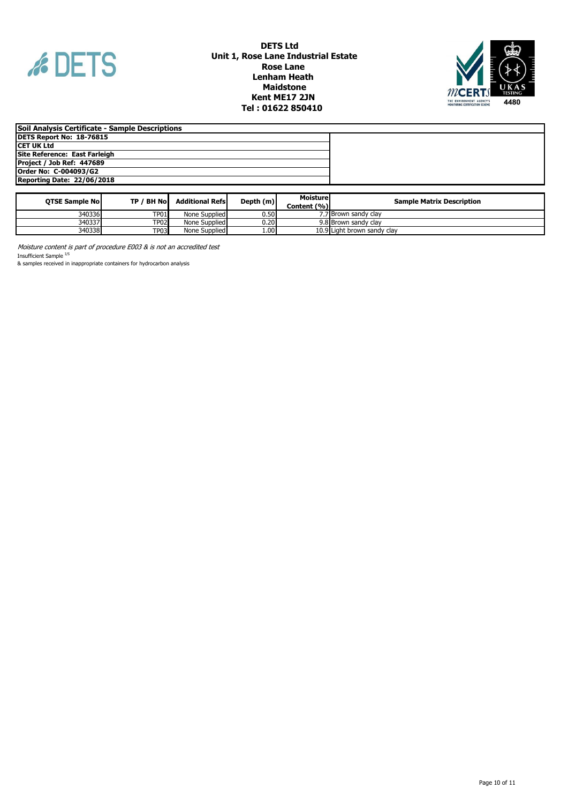



| Soil Analysis Certificate - Sample Descriptions |  |
|-------------------------------------------------|--|
| DETS Report No: 18-76815                        |  |
| ICET UK Ltd                                     |  |
| Site Reference: East Farleigh                   |  |
| Project / Job Ref: 447689                       |  |
| Order No: C-004093/G2                           |  |
| Reporting Date: 22/06/2018                      |  |

| <b>OTSE Sample Noll</b> | TP / BH No  | <b>Additional Refsi</b> | Depth (m) | Moisturel<br>Content (%) | <b>Sample Matrix Description</b> |
|-------------------------|-------------|-------------------------|-----------|--------------------------|----------------------------------|
| 340336                  | <b>TP01</b> | None Supplied           | 0.50      |                          | 7.7 Brown sandy clay             |
| 340337                  | <b>TP02</b> | None Supplied           | 0.20l     |                          | 9.8 Brown sandy clay             |
| 340338                  | <b>TP03</b> | None Supplied           | 1.00      |                          | 10.9 Light brown sandy clay      |

Moisture content is part of procedure E003 & is not an accredited test Insufficient Sample <sup>I/S</sup>

& samples received in inappropriate containers for hydrocarbon analysis